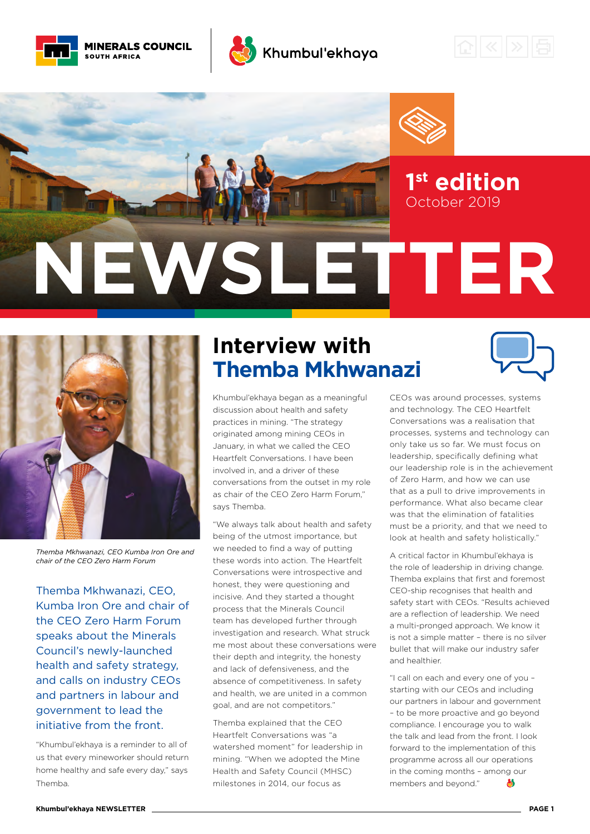



## Khumbul'ekhaya







*Themba Mkhwanazi, CEO Kumba Iron Ore and chair of the CEO Zero Harm Forum*

Themba Mkhwanazi, CEO, Kumba Iron Ore and chair of the CEO Zero Harm Forum speaks about the Minerals Council's newly-launched health and safety strategy, and calls on industry CEOs and partners in labour and government to lead the initiative from the front.

"Khumbul'ekhaya is a reminder to all of us that every mineworker should return home healthy and safe every day," says Themba.

# **Interview with Themba Mkhwanazi**

Khumbul'ekhaya began as a meaningful discussion about health and safety practices in mining. "The strategy originated among mining CEOs in January, in what we called the CEO Heartfelt Conversations. I have been involved in, and a driver of these conversations from the outset in my role as chair of the CEO Zero Harm Forum," says Themba.

"We always talk about health and safety being of the utmost importance, but we needed to find a way of putting these words into action. The Heartfelt Conversations were introspective and honest, they were questioning and incisive. And they started a thought process that the Minerals Council team has developed further through investigation and research. What struck me most about these conversations were their depth and integrity, the honesty and lack of defensiveness, and the absence of competitiveness. In safety and health, we are united in a common goal, and are not competitors."

Themba explained that the CEO Heartfelt Conversations was "a watershed moment" for leadership in mining. "When we adopted the Mine Health and Safety Council (MHSC) milestones in 2014, our focus as



CEOs was around processes, systems and technology. The CEO Heartfelt Conversations was a realisation that processes, systems and technology can only take us so far. We must focus on leadership, specifically defining what our leadership role is in the achievement of Zero Harm, and how we can use that as a pull to drive improvements in performance. What also became clear was that the elimination of fatalities must be a priority, and that we need to look at health and safety holistically."

A critical factor in Khumbul'ekhaya is the role of leadership in driving change. Themba explains that first and foremost CEO-ship recognises that health and safety start with CEOs. "Results achieved are a reflection of leadership. We need a multi-pronged approach. We know it is not a simple matter – there is no silver bullet that will make our industry safer and hoalthier.

"I call on each and every one of you – starting with our CEOs and including our partners in labour and government – to be more proactive and go beyond compliance. I encourage you to walk the talk and lead from the front. I look forward to the implementation of this programme across all our operations in the coming months – among our members and beyond." **A**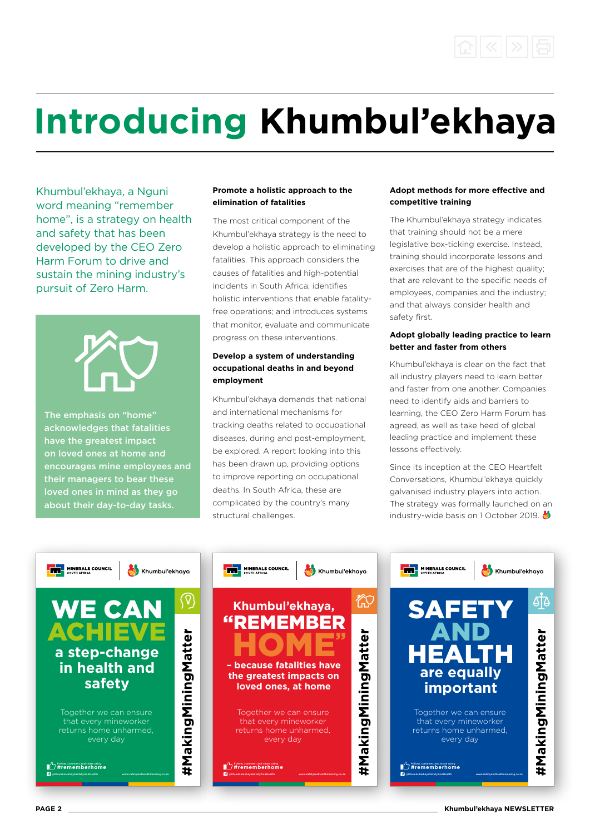

# **Introducing Khumbul'ekhaya**

Khumbul'ekhaya, a Nguni word meaning "remember home", is a strategy on health and safety that has been developed by the CEO Zero Harm Forum to drive and sustain the mining industry's pursuit of Zero Harm.



The emphasis on "home" acknowledges that fatalities have the greatest impact on loved ones at home and encourages mine employees and their managers to bear these loved ones in mind as they go about their day-to-day tasks.

#### **Promote a holistic approach to the elimination of fatalities**

The most critical component of the Khumbul'ekhaya strategy is the need to develop a holistic approach to eliminating fatalities. This approach considers the causes of fatalities and high-potential incidents in South Africa; identifies holistic interventions that enable fatalityfree operations; and introduces systems that monitor, evaluate and communicate progress on these interventions.

#### **Develop a system of understanding occupational deaths in and beyond employment**

Khumbul'ekhaya demands that national and international mechanisms for tracking deaths related to occupational diseases, during and post-employment, be explored. A report looking into this has been drawn up, providing options to improve reporting on occupational deaths. In South Africa, these are complicated by the country's many structural challenges.

#### **Adopt methods for more effective and competitive training**

The Khumbul'ekhaya strategy indicates that training should not be a mere legislative box-ticking exercise. Instead, training should incorporate lessons and exercises that are of the highest quality; that are relevant to the specific needs of employees, companies and the industry; and that always consider health and safety first.

#### **Adopt globally leading practice to learn better and faster from others**

Khumbul'ekhaya is clear on the fact that all industry players need to learn better and faster from one another. Companies need to identify aids and barriers to learning, the CEO Zero Harm Forum has agreed, as well as take heed of global leading practice and implement these lessons effectively.

Since its inception at the CEO Heartfelt Conversations, Khumbul'ekhaya quickly galvanised industry players into action. The strategy was formally launched on an industry-wide basis on 1 October 2019.  $\bullet$ 

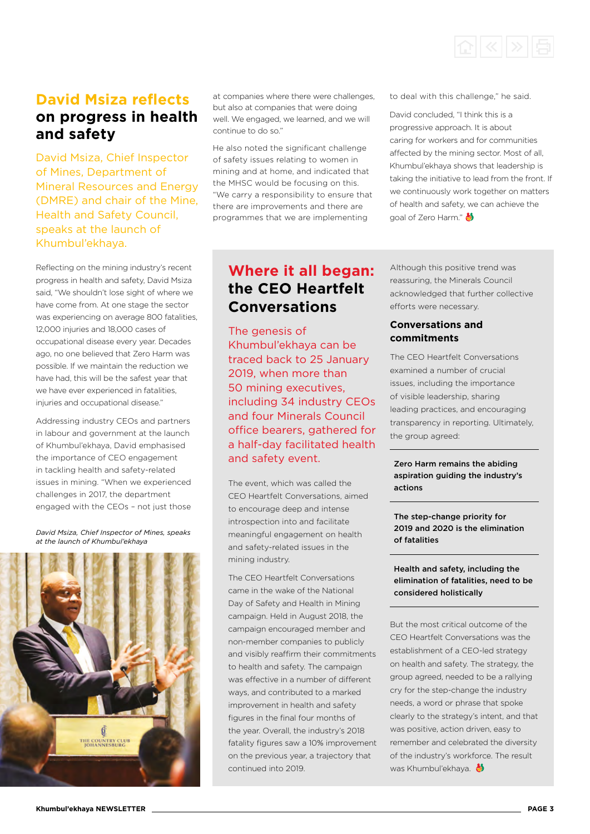

## **David Msiza reflects on progress in health and safety**

David Msiza, Chief Inspector of Mines, Department of Mineral Resources and Energy (DMRE) and chair of the Mine, Health and Safety Council, speaks at the launch of Khumbul'ekhaya.

Reflecting on the mining industry's recent progress in health and safety, David Msiza said, "We shouldn't lose sight of where we have come from. At one stage the sector was experiencing on average 800 fatalities, 12,000 injuries and 18,000 cases of occupational disease every year. Decades ago, no one believed that Zero Harm was possible. If we maintain the reduction we have had, this will be the safest year that we have ever experienced in fatalities, injuries and occupational disease."

Addressing industry CEOs and partners in labour and government at the launch of Khumbul'ekhaya, David emphasised the importance of CEO engagement in tackling health and safety-related issues in mining. "When we experienced challenges in 2017, the department engaged with the CEOs – not just those

*David Msiza, Chief Inspector of Mines, speaks at the launch of Khumbul'ekhaya*



at companies where there were challenges, but also at companies that were doing well. We engaged, we learned, and we will continue to do so."

He also noted the significant challenge of safety issues relating to women in mining and at home, and indicated that the MHSC would be focusing on this. "We carry a responsibility to ensure that there are improvements and there are programmes that we are implementing

**Where it all began: the CEO Heartfelt Conversations**

The genesis of Khumbul'ekhaya can be traced back to 25 January 2019, when more than 50 mining executives, including 34 industry CEOs and four Minerals Council office bearers, gathered for a half-day facilitated health and safety event.

The event, which was called the CEO Heartfelt Conversations, aimed to encourage deep and intense introspection into and facilitate meaningful engagement on health and safety-related issues in the mining industry.

The CEO Heartfelt Conversations came in the wake of the National Day of Safety and Health in Mining campaign. Held in August 2018, the campaign encouraged member and non-member companies to publicly and visibly reaffirm their commitments to health and safety. The campaign was effective in a number of different ways, and contributed to a marked improvement in health and safety figures in the final four months of the year. Overall, the industry's 2018 fatality figures saw a 10% improvement on the previous year, a trajectory that continued into 2019.

goal of Zero Harm." Although this positive trend was

to deal with this challenge," he said.

David concluded, "I think this is a progressive approach. It is about caring for workers and for communities affected by the mining sector. Most of all, Khumbul'ekhaya shows that leadership is taking the initiative to lead from the front. If we continuously work together on matters of health and safety, we can achieve the

reassuring, the Minerals Council acknowledged that further collective efforts were necessary.

#### **Conversations and commitments**

The CEO Heartfelt Conversations examined a number of crucial issues, including the importance of visible leadership, sharing leading practices, and encouraging transparency in reporting. Ultimately, the group agreed:

#### Zero Harm remains the abiding aspiration guiding the industry's actions

The step-change priority for 2019 and 2020 is the elimination of fatalities

#### Health and safety, including the elimination of fatalities, need to be considered holistically

But the most critical outcome of the CEO Heartfelt Conversations was the establishment of a CEO-led strategy on health and safety. The strategy, the group agreed, needed to be a rallying cry for the step-change the industry needs, a word or phrase that spoke clearly to the strategy's intent, and that was positive, action driven, easy to remember and celebrated the diversity of the industry's workforce. The result was Khumbul'ekhaya.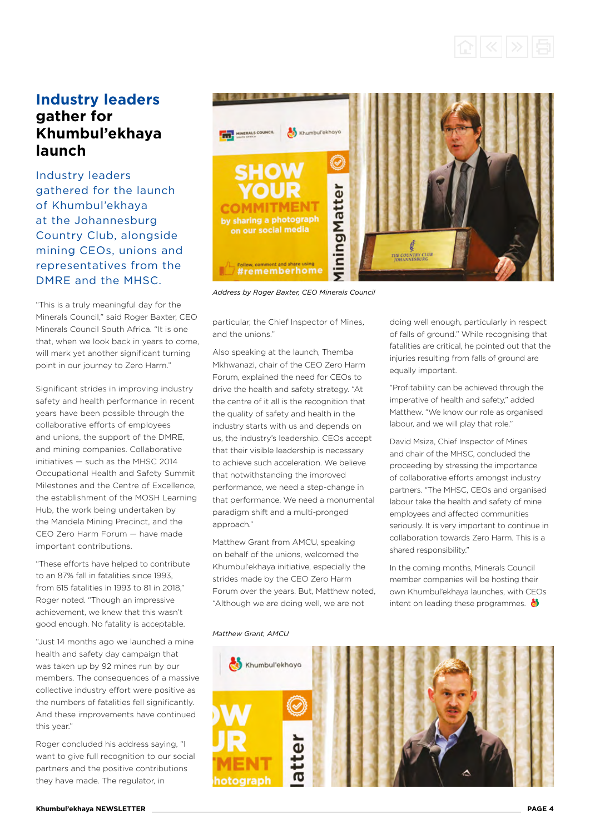

### **Industry leaders gather for Khumbul'ekhaya launch**

Industry leaders gathered for the launch of Khumbul'ekhaya at the Johannesburg Country Club, alongside mining CEOs, unions and representatives from the DMRE and the MHSC.

"This is a truly meaningful day for the Minerals Council," said Roger Baxter, CEO Minerals Council South Africa. "It is one that, when we look back in years to come, will mark yet another significant turning point in our journey to Zero Harm."

Significant strides in improving industry safety and health performance in recent years have been possible through the collaborative efforts of employees and unions, the support of the DMRE, and mining companies. Collaborative initiatives — such as the MHSC 2014 Occupational Health and Safety Summit Milestones and the Centre of Excellence, the establishment of the MOSH Learning Hub, the work being undertaken by the Mandela Mining Precinct, and the CEO Zero Harm Forum — have made important contributions.

"These efforts have helped to contribute to an 87% fall in fatalities since 1993 from 615 fatalities in 1993 to 81 in 2018," Roger noted. "Though an impressive achievement, we knew that this wasn't good enough. No fatality is acceptable.

"Just 14 months ago we launched a mine health and safety day campaign that was taken up by 92 mines run by our members. The consequences of a massive collective industry effort were positive as the numbers of fatalities fell significantly. And these improvements have continued this year."

Roger concluded his address saying, "I want to give full recognition to our social partners and the positive contributions they have made. The regulator, in



*Address by Roger Baxter, CEO Minerals Council*

particular, the Chief Inspector of Mines, and the unions."

Also speaking at the launch, Themba Mkhwanazi, chair of the CEO Zero Harm Forum, explained the need for CEOs to drive the health and safety strategy. "At the centre of it all is the recognition that the quality of safety and health in the industry starts with us and depends on us, the industry's leadership. CEOs accept that their visible leadership is necessary to achieve such acceleration. We believe that notwithstanding the improved performance, we need a step-change in that performance. We need a monumental paradigm shift and a multi-pronged approach."

Matthew Grant from AMCU, speaking on behalf of the unions, welcomed the Khumbul'ekhaya initiative, especially the strides made by the CEO Zero Harm Forum over the years. But, Matthew noted, "Although we are doing well, we are not

doing well enough, particularly in respect of falls of ground." While recognising that fatalities are critical, he pointed out that the injuries resulting from falls of ground are equally important.

"Profitability can be achieved through the imperative of health and safety," added Matthew. "We know our role as organised labour, and we will play that role."

David Msiza, Chief Inspector of Mines and chair of the MHSC, concluded the proceeding by stressing the importance of collaborative efforts amongst industry partners. "The MHSC, CEOs and organised labour take the health and safety of mine employees and affected communities seriously. It is very important to continue in collaboration towards Zero Harm. This is a shared responsibility."

In the coming months, Minerals Council member companies will be hosting their own Khumbul'ekhaya launches, with CEOs intent on leading these programmes.  $\clubsuit$ 

#### *Matthew Grant, AMCU*

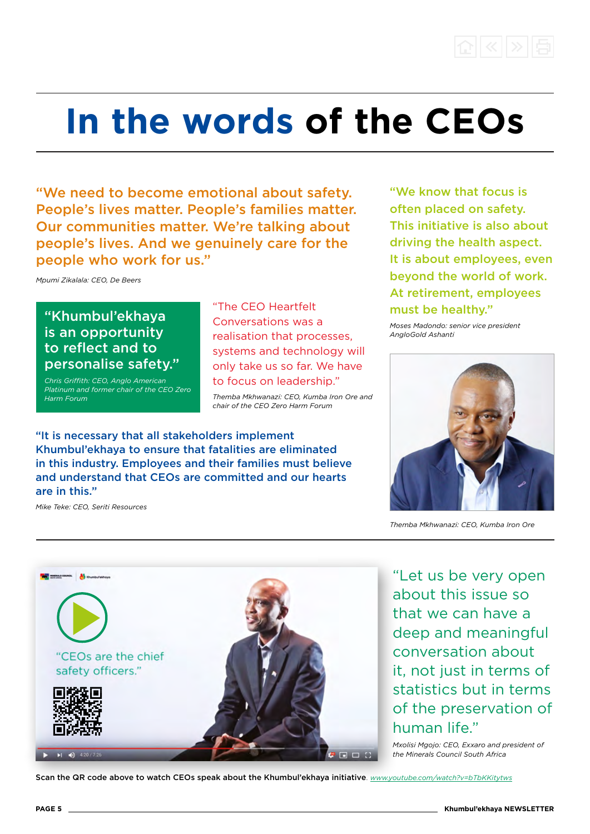

# **In the words of the CEOs**

"We need to become emotional about safety. People's lives matter. People's families matter. Our communities matter. We're talking about people's lives. And we genuinely care for the people who work for us."

*Mpumi Zikalala: CEO, De Beers*

### "Khumbul'ekhaya is an opportunity to reflect and to personalise safety."

*Chris Griffith: CEO, Anglo American Platinum and former chair of the CEO Zero Harm Forum*

"The CEO Heartfelt Conversations was a realisation that processes, systems and technology will only take us so far. We have to focus on leadership."

*Themba Mkhwanazi: CEO, Kumba Iron Ore and chair of the CEO Zero Harm Forum*

"It is necessary that all stakeholders implement Khumbul'ekhaya to ensure that fatalities are eliminated in this industry. Employees and their families must believe and understand that CEOs are committed and our hearts are in this."

*Mike Teke: CEO, Seriti Resources*

"We know that focus is often placed on safety. This initiative is also about driving the health aspect. It is about employees, even beyond the world of work. At retirement, employees must be healthy."

*Moses Madondo: senior vice president AngloGold Ashanti*



*Themba Mkhwanazi: CEO, Kumba Iron Ore*



"Let us be very open about this issue so that we can have a deep and meaningful conversation about it, not just in terms of statistics but in terms of the preservation of human life."

*Mxolisi Mgojo: CEO, Exxaro and president of the Minerals Council South Africa*

Scan the QR code above to watch CEOs speak about the Khumbul'ekhaya initiative. *<www.youtube.com/watch?v=bTbKKitytws>*